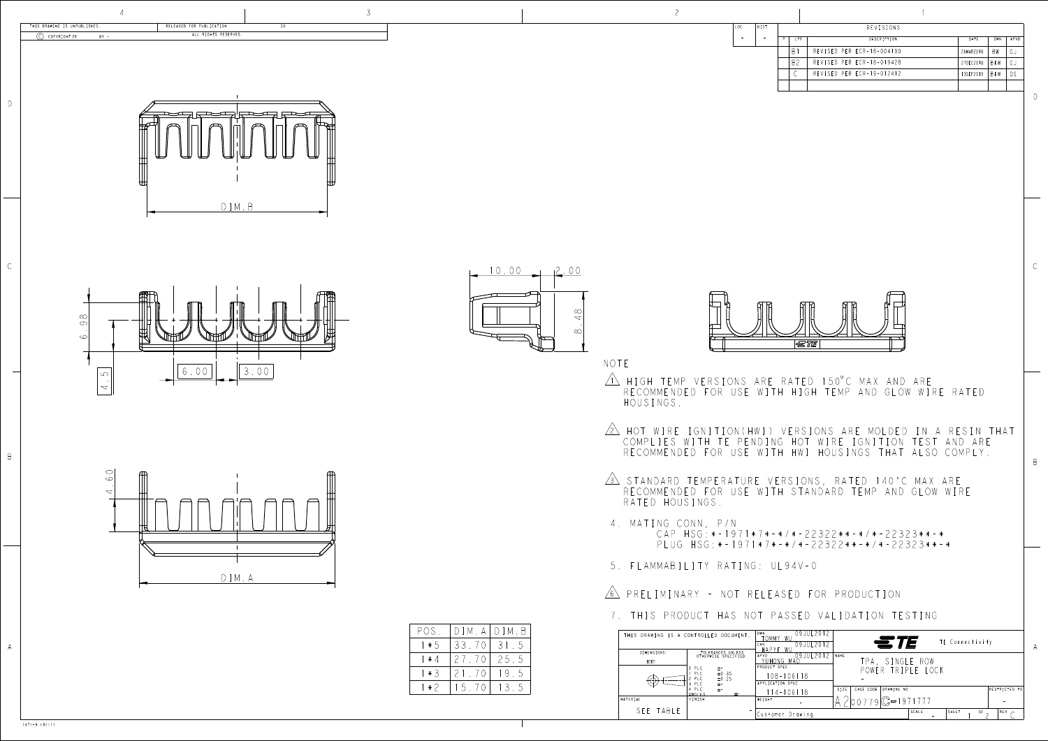D

B

| DIST |                | REVISIONS                 |           |            |      |
|------|----------------|---------------------------|-----------|------------|------|
|      | LTR.           | DESCRIPTION               | DATE      | DWN        | APVD |
|      | R.             | REVISED PER ECR-18-004190 | 26MAR2018 | BW         | G J  |
|      | B <sub>2</sub> | REVISED PER ECR-18-019428 | 27DEC2018 | <b>BKW</b> | GJ   |
|      |                | REVISED PER ECR-19-012412 | 13SEP2019 | <b>BKW</b> | DS   |
|      |                |                           |           |            |      |
|      |                |                           |           |            |      |

 $\frac{\infty}{4}$ 



|                       | THIS DRAWING IS A CONTROLLED DOCUMENT.                                                                             | DWN<br>09JUL 201<br>`OMMY<br>Wl<br>09JUL 2012<br>CHK.<br>W<br>HAPYE                           | <i>STE</i><br>TE Connectivity                                                                                              |
|-----------------------|--------------------------------------------------------------------------------------------------------------------|-----------------------------------------------------------------------------------------------|----------------------------------------------------------------------------------------------------------------------------|
| DIMENSIONS:<br>mm.    | TOLERANCES UNLESS<br>OTHERWISE SPECIFIED:<br>PLC<br>$\pm$ -<br>PLC<br>±0.35<br>$\pm 0.25$<br>PLC<br>PLC<br>$\pm$ - | 09JUL 2012<br>APVD<br>YUHONG MAC<br><b>PRODUCT SPEC</b><br>$108 - 106118$<br>APPLICATION SPEC | <b>NAME</b><br>TPA, SINGLE ROW<br>POWER TRIPLE LOCK                                                                        |
| MATERIAL<br>SEE TABLE | PLC<br>$\pm$ -<br>$\pm$ -<br>ANGLES<br>FINISH<br>$\sim$                                                            | 14-106118<br>WEIGHT<br>Customer Drawing                                                       | CAGE CODE<br>DRAWING NO<br>RESTRICTED TO<br>SIZE<br>$\frac{1}{000779}$ $C = 1971777$<br>SHEET<br>$REV \sim$<br>SCALE<br>OF |



| ۰,                        |
|---------------------------|
| ٦<br>I<br>۰.<br>۰,<br>___ |

- <u>IN</u> HIGH TEMP VERSIONS ARE RATED 150 C MAX AN RECOMMENDED FOR USE WITH HIGH TEMP AND GLOW HOUSINGS.
- 2 HOT WIRE IGNITION(HWI) VERSIONS ARE MOLDED IN A RESIN THAT COMPLIES WITH TE PENDING HOT WIRE IGNITION TEST AND ARE RECOMMENDED FOR USE WITH HWI HOUSINGS THAT ALSO COMPLY.
- 3 STANDARD TEMPERATURE VERSIONS, RATED 140°C MAX ARE RECOMMENDED FOR USE WITH STANDARD TEMP AND RATED HOUSINGS.
- 4. MATING CONN, P/N CAP HSG:\*-1971\*7\*-\*/\*-22322\*\*-\*/\*-22323\*\*-\* PLUG HSG:\*-1971\*7\*-\*/\*-22322\*\*-\*/\*-22323\*\*-\*
- 5. FLAMMABILITY RATING: UL94V-0

## <u>6)</u> Preliminary - Not released for Pro

NOTE

7. THIS PRODUCT HAS NOT PASSED VALIDATION TESTING